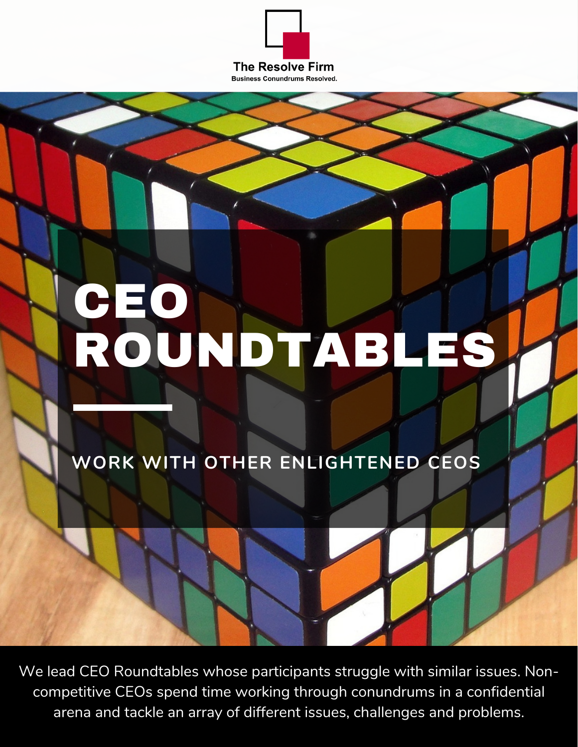

# CEO ROUNDTABLES

**WORK WITH OTHER ENLIGHTENED CEOS**

We lead CEO Roundtables whose participants struggle with similar issues. Noncompetitive CEOs spend time working through conundrums in a confidential arena and tackle an array of different issues, challenges and problems.